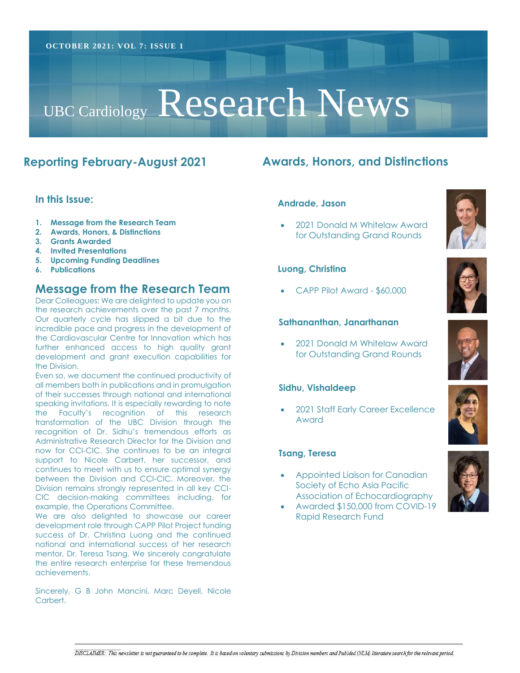# UBC Cardiology Research News

# **Reporting February-August 2021**

#### **In this Issue:**

- **1. Message from the Research Team**
- **2. Awards, Honors, & Distinctions**
- **3. Grants Awarded**
- **4. Invited Presentations**
- **5. Upcoming Funding Deadlines**
- **6. Publications**

# **Message from the Research Team**

Dear Colleagues: We are delighted to update you on the research achievements over the past 7 months. Our quarterly cycle has slipped a bit due to the incredible pace and progress in the development of the Cardiovascular Centre for Innovation which has further enhanced access to high quality grant development and grant execution capabilities for the Division.

now for CCI-CIC. She continues to be an integral support to Nicole Carbert, her successor, and UBC Division of Cardiology continues to meet with us to ensure optimal synergy Research Director between the Division and CCI-CIC. Moreover, the Even so, we document the continued productivity of all members both in publications and in promulgation of their successes through national and international speaking invitations. It is especially rewarding to note the Faculty's recognition of this research transformation of the UBC Division through the recognition of Dr. Sidhu's tremendous efforts as Administrative Research Director for the Division and Division remains strongly represented in all key CCI-CIC decision-making committees including, for example, the Operations Committee.

We are also delighted to showcase our career development role through CAPP Pilot Project funding success of Dr. Christina Luong and the continued national and international success of her research mentor, Dr. Teresa Tsang. We sincerely congratulate the entire research enterprise for these tremendous achievements.

Sincerely, G B John Mancini, Marc Deyell, Nicole Carbert

# **Awards, Honors, and Distinctions**

#### **Andrade, Jason**

• 2021 Donald M Whitelaw Award for Outstanding Grand Rounds





• CAPP Pilot Award - \$60,000

#### **Sathananthan, Janarthanan**

• 2021 Donald M Whitelaw Award for Outstanding Grand Rounds

#### **Sidhu, Vishaldeep**

• 2021 Staff Early Career Excellence Award

#### **Tsang, Teresa**

- Appointed Liaison for Canadian Society of Echo Asia Pacific Association of Echocardiography
- Awarded \$150,000 from COVID-19 Rapid Research Fund





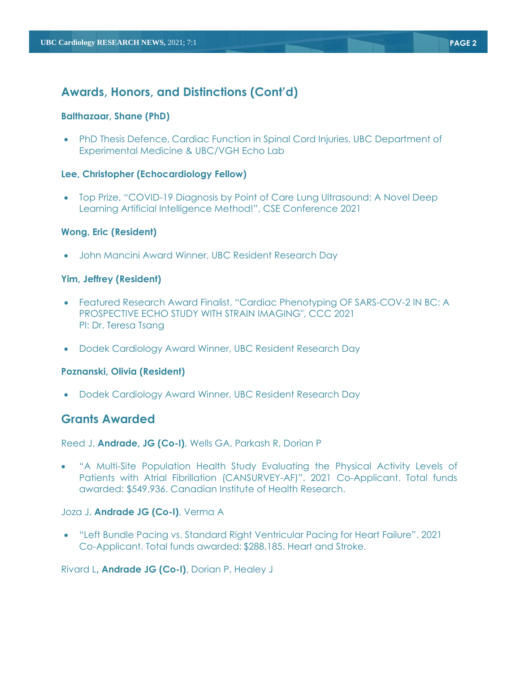# **Awards, Honors, and Distinctions (Cont'd)**

#### **Balthazaar, Shane (PhD)**

• PhD Thesis Defence, Cardiac Function in Spinal Cord Injuries, UBC Department of Experimental Medicine & UBC/VGH Echo Lab

#### **Lee, Christopher (Echocardiology Fellow)**

• Top Prize, "COVID-19 Diagnosis by Point of Care Lung Ultrasound: A Novel Deep Learning Artificial Intelligence Method!", CSE Conference 2021

#### **Wong, Eric (Resident)**

• John Mancini Award Winner, UBC Resident Research Day

#### **Yim, Jeffrey (Resident)**

- Featured Research Award Finalist, "Cardiac Phenotyping OF SARS-COV-2 IN BC: A PROSPECTIVE ECHO STUDY WITH STRAIN IMAGING", CCC 2021 PI: Dr. Teresa Tsang
- Dodek Cardiology Award Winner, UBC Resident Research Day

#### **Poznanski, Olivia (Resident)**

• Dodek Cardiology Award Winner, UBC Resident Research Day

# **Grants Awarded**

Reed J, **Andrade, JG (Co-I)**, Wells GA, Parkash R, Dorian P

• "A Multi-Site Population Health Study Evaluating the Physical Activity Levels of Patients with Atrial Fibrillation (CANSURVEY-AF)". 2021 Co-Applicant. Total funds awarded: \$549,936. Canadian Institute of Health Research.

#### Joza J, **Andrade JG (Co-I)**, Verma A

• "Left Bundle Pacing vs. Standard Right Ventricular Pacing for Heart Failure". 2021 Co-Applicant. Total funds awarded: \$288,185. Heart and Stroke.

Rivard L**, Andrade JG (Co-I)**, Dorian P, Healey J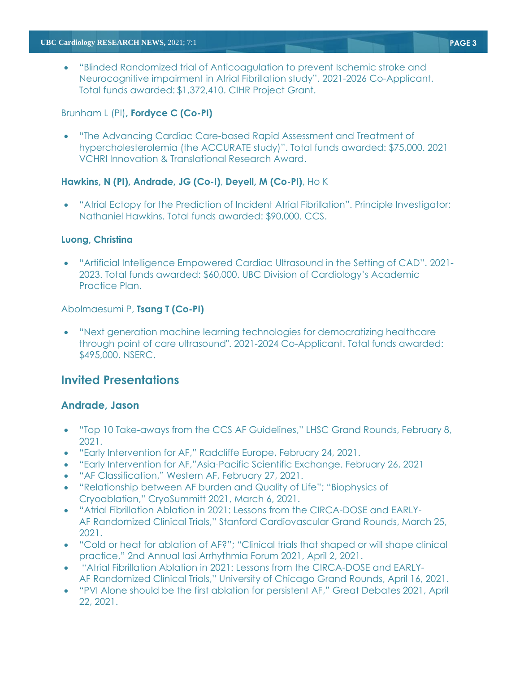• "Blinded Randomized trial of Anticoagulation to prevent Ischemic stroke and Neurocognitive impairment in Atrial Fibrillation study". 2021-2026 Co-Applicant. Total funds awarded: \$1,372,410. CIHR Project Grant.

#### Brunham L (PI)**, Fordyce C (Co-PI)**

• "The Advancing Cardiac Care-based Rapid Assessment and Treatment of hypercholesterolemia (the ACCURATE study)". Total funds awarded: \$75,000. 2021 VCHRI Innovation & Translational Research Award.

#### **Hawkins, N (PI), Andrade, JG (Co-I)**, **Deyell, M (Co-PI)**, Ho K

• "Atrial Ectopy for the Prediction of Incident Atrial Fibrillation". Principle Investigator: Nathaniel Hawkins. Total funds awarded: \$90,000. CCS.

#### **Luong, Christina**

• "Artificial Intelligence Empowered Cardiac Ultrasound in the Setting of CAD". 2021- 2023. Total funds awarded: \$60,000. UBC Division of Cardiology's Academic Practice Plan.

#### Abolmaesumi P, **Tsang T (Co-PI)**

• "Next generation machine learning technologies for democratizing healthcare through point of care ultrasound". 2021-2024 Co-Applicant. Total funds awarded: \$495,000. NSERC.

# **Invited Presentations**

## **Andrade, Jason**

- "Top 10 Take-aways from the CCS AF Guidelines," LHSC Grand Rounds, February 8, 2021.
- "Early Intervention for AF," Radcliffe Europe, February 24, 2021.
- "Early Intervention for AF,"Asia-Pacific Scientific Exchange. February 26, 2021
- "AF Classification," Western AF, February 27, 2021.
- "Relationship between AF burden and Quality of Life"; "Biophysics of Cryoablation," CryoSummitt 2021, March 6, 2021.
- "Atrial Fibrillation Ablation in 2021: Lessons from the CIRCA-DOSE and EARLY-AF Randomized Clinical Trials," Stanford Cardiovascular Grand Rounds, March 25, 2021.
- "Cold or heat for ablation of AF?"; "Clinical trials that shaped or will shape clinical practice," 2nd Annual Iasi Arrhythmia Forum 2021, April 2, 2021.
- "Atrial Fibrillation Ablation in 2021: Lessons from the CIRCA-DOSE and EARLY-AF Randomized Clinical Trials," University of Chicago Grand Rounds, April 16, 2021.
- "PVI Alone should be the first ablation for persistent AF," Great Debates 2021, April 22, 2021.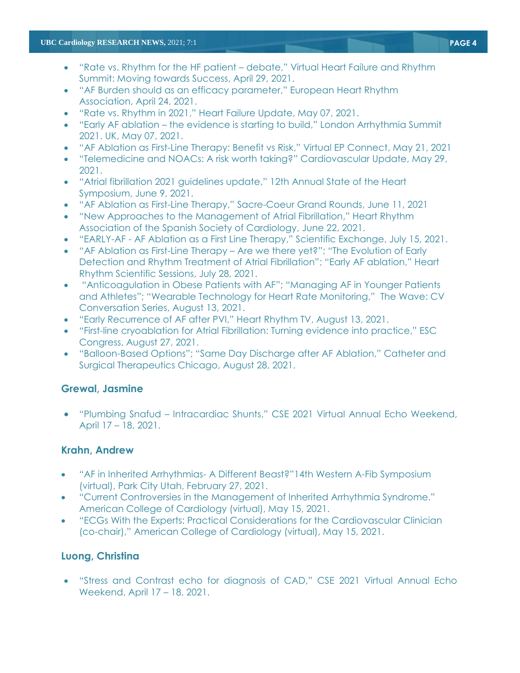#### **UBC Cardiology RESEARCH NEWS,** 2021; 7:1 **PAGE 4**

- "Rate vs. Rhythm for the HF patient debate," Virtual Heart Failure and Rhythm Summit: Moving towards Success, April 29, 2021.
- "AF Burden should as an efficacy parameter," European Heart Rhythm Association, April 24, 2021.
- "Rate vs. Rhythm in 2021," Heart Failure Update, May 07, 2021.
- "Early AF ablation the evidence is starting to build," London Arrhythmia Summit 2021. UK, May 07, 2021.
- "AF Ablation as First-Line Therapy: Benefit vs Risk," Virtual EP Connect, May 21, 2021
- "Telemedicine and NOACs: A risk worth taking?" Cardiovascular Update, May 29, 2021.
- "Atrial fibrillation 2021 guidelines update," 12th Annual State of the Heart Symposium, June 9, 2021.
- "AF Ablation as First-Line Therapy," Sacre-Coeur Grand Rounds, June 11, 2021
- "New Approaches to the Management of Atrial Fibrillation," Heart Rhythm Association of the Spanish Society of Cardiology, June 22, 2021.
- "EARLY-AF AF Ablation as a First Line Therapy," Scientific Exchange, July 15, 2021.
- "AF Ablation as First-Line Therapy Are we there yet?"; "The Evolution of Early Detection and Rhythm Treatment of Atrial Fibrillation"; "Early AF ablation," Heart Rhythm Scientific Sessions, July 28, 2021.
- "Anticoagulation in Obese Patients with AF"; "Managing AF in Younger Patients and Athletes"; "Wearable Technology for Heart Rate Monitoring," The Wave: CV Conversation Series, August 13, 2021.
- "Early Recurrence of AF after PVI," Heart Rhythm TV, August 13, 2021.
- "First-line cryoablation for Atrial Fibrillation: Turning evidence into practice," ESC Congress, August 27, 2021.
- "Balloon-Based Options"; "Same Day Discharge after AF Ablation," Catheter and Surgical Therapeutics Chicago, August 28, 2021.

## **Grewal, Jasmine**

• "Plumbing Snafud – Intracardiac Shunts," CSE 2021 Virtual Annual Echo Weekend, April 17 – 18, 2021.

## **Krahn, Andrew**

- "AF in Inherited Arrhythmias- A Different Beast?"14th Western A-Fib Symposium (virtual), Park City Utah, February 27, 2021.
- "Current Controversies in the Management of Inherited Arrhythmia Syndrome." American College of Cardiology (virtual), May 15, 2021.
- "ECGs With the Experts: Practical Considerations for the Cardiovascular Clinician (co-chair)," American College of Cardiology (virtual), May 15, 2021.

## **Luong, Christina**

• "Stress and Contrast echo for diagnosis of CAD," CSE 2021 Virtual Annual Echo Weekend, April 17 – 18, 2021.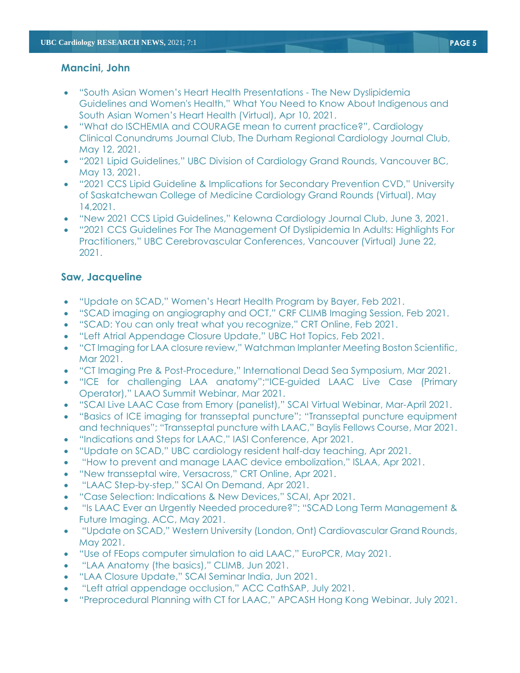## **Mancini, John**

- "South Asian Women's Heart Health Presentations The New Dyslipidemia Guidelines and Women's Health," What You Need to Know About Indigenous and South Asian Women's Heart Health (Virtual), Apr 10, 2021.
- "What do ISCHEMIA and COURAGE mean to current practice?", Cardiology Clinical Conundrums Journal Club, The Durham Regional Cardiology Journal Club, May 12, 2021.
- "2021 Lipid Guidelines," UBC Division of Cardiology Grand Rounds, Vancouver BC, May 13, 2021.
- "2021 CCS Lipid Guideline & Implications for Secondary Prevention CVD," University of Saskatchewan College of Medicine Cardiology Grand Rounds (Virtual), May 14,2021.
- "New 2021 CCS Lipid Guidelines," Kelowna Cardiology Journal Club, June 3, 2021.
- "2021 CCS Guidelines For The Management Of Dyslipidemia In Adults: Highlights For Practitioners," UBC Cerebrovascular Conferences, Vancouver (Virtual) June 22, 2021.

## **Saw, Jacqueline**

- "Update on SCAD," Women's Heart Health Program by Bayer, Feb 2021.
- "SCAD imaging on angiography and OCT," CRF CLIMB Imaging Session, Feb 2021.
- "SCAD: You can only treat what you recognize," CRT Online, Feb 2021.
- "Left Atrial Appendage Closure Update," UBC Hot Topics, Feb 2021.
- "CT Imaging for LAA closure review," Watchman Implanter Meeting Boston Scientific, Mar 2021.
- "CT Imaging Pre & Post-Procedure," International Dead Sea Symposium, Mar 2021.
- "ICE for challenging LAA anatomy";"ICE-guided LAAC Live Case (Primary Operator)," LAAO Summit Webinar, Mar 2021.
- "SCAI Live LAAC Case from Emory (panelist)," SCAI Virtual Webinar, Mar-April 2021.
- "Basics of ICE imaging for transseptal puncture"; "Transseptal puncture equipment and techniques"; "Transseptal puncture with LAAC," Baylis Fellows Course, Mar 2021.
- "Indications and Steps for LAAC," IASI Conference, Apr 2021.
- "Update on SCAD," UBC cardiology resident half-day teaching, Apr 2021.
- "How to prevent and manage LAAC device embolization," ISLAA, Apr 2021.
- "New transseptal wire, Versacross," CRT Online, Apr 2021.
- "LAAC Step-by-step," SCAI On Demand, Apr 2021.
- "Case Selection: Indications & New Devices," SCAI, Apr 2021.
- "Is LAAC Ever an Urgently Needed procedure?"; "SCAD Long Term Management & Future Imaging. ACC, May 2021.
- "Update on SCAD," Western University (London, Ont) Cardiovascular Grand Rounds, May 2021.
- "Use of FEops computer simulation to aid LAAC," EuroPCR, May 2021.
- "LAA Anatomy (the basics)," CLIMB, Jun 2021.
- "LAA Closure Update," SCAI Seminar India, Jun 2021.
- "Left atrial appendage occlusion," ACC CathSAP, July 2021.
- "Preprocedural Planning with CT for LAAC," APCASH Hong Kong Webinar, July 2021.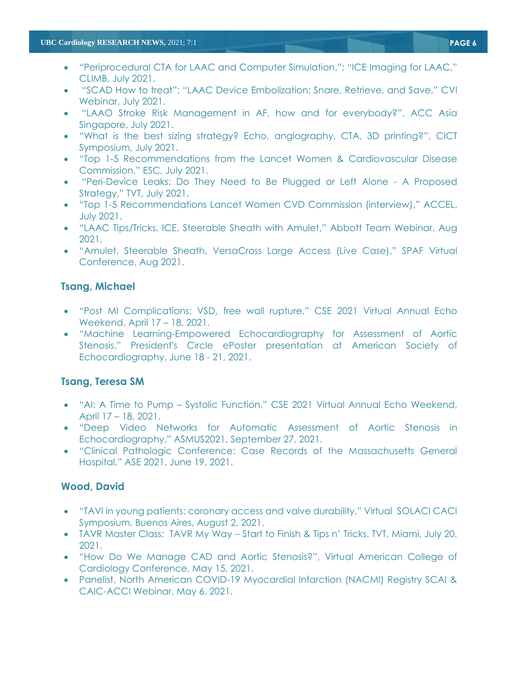- "Periprocedural CTA for LAAC and Computer Simulation,"; "ICE Imaging for LAAC," CLIMB, July 2021.
- "SCAD How to treat"; "LAAC Device Embolization: Snare, Retrieve, and Save," CVI Webinar, July 2021.
- "LAAO Stroke Risk Management in AF, how and for everybody?". ACC Asia Singapore, July 2021.
- "What is the best sizing strategy? Echo, angiography, CTA, 3D printing?", CICT Symposium, July 2021.
- "Top 1-5 Recommendations from the Lancet Women & Cardiovascular Disease Commission," ESC, July 2021.
- "Peri-Device Leaks: Do They Need to Be Plugged or Left Alone A Proposed Strategy," TVT, July 2021.
- "Top 1-5 Recommendations Lancet Women CVD Commission (interview)," ACCEL, July 2021.
- "LAAC Tips/Tricks, ICE, Steerable Sheath with Amulet," Abbott Team Webinar, Aug 2021.
- "Amulet, Steerable Sheath, VersaCross Large Access (Live Case)," SPAF Virtual Conference, Aug 2021.

## **Tsang, Michael**

- "Post MI Complications: VSD, free wall rupture," CSE 2021 Virtual Annual Echo Weekend, April 17 – 18, 2021.
- "Machine Learning-Empowered Echocardiography for Assessment of Aortic Stenosis," President's Circle ePoster presentation at American Society of Echocardiography, June 18 - 21, 2021.

## **Tsang, Teresa SM**

- "AI: A Time to Pump Systolic Function," CSE 2021 Virtual Annual Echo Weekend, April 17 – 18, 2021.
- "Deep Video Networks for Automatic Assessment of Aortic Stenosis in Echocardiography," ASMUS2021, September 27, 2021.
- "Clinical Pathologic Conference: Case Records of the Massachusetts General Hospital," ASE 2021, June 19, 2021.

## **Wood, David**

- "TAVI in young patients: coronary access and valve durability," Virtual SOLACI CACI Symposium, Buenos Aires, August 2, 2021.
- TAVR Master Class: TAVR My Way Start to Finish & Tips n' Tricks. TVT, Miami, July 20, 2021.
- "How Do We Manage CAD and Aortic Stenosis?", Virtual American College of Cardiology Conference, May 15, 2021.
- Panelist, North American COVID-19 Myocardial Infarction (NACMI) Registry SCAI & CAIC-ACCI Webinar, May 6, 2021.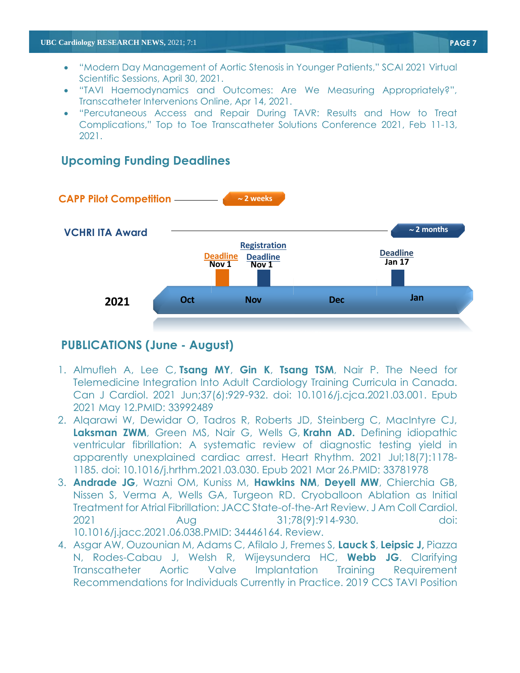- "Modern Day Management of Aortic Stenosis in Younger Patients," SCAI 2021 Virtual Scientific Sessions, April 30, 2021.
- "TAVI Haemodynamics and Outcomes: Are We Measuring Appropriately?", Transcatheter Intervenions Online, Apr 14, 2021.
- "Percutaneous Access and Repair During TAVR: Results and How to Treat Complications," Top to Toe Transcatheter Solutions Conference 2021, Feb 11-13, 2021.

# **VCHRI ITA Award CAPP Pilot Competition 2 weeks 2021** Deadline<br>Jan 17 **Nov 1 Oct Nov Dec Jan Registration Deadline 2 months Deadline Nov 1 Detainery Detainery Detainery Detainery Detained**

# **Upcoming Funding Deadlines**

# **PUBLICATIONS (June - August)**

- 1. Almufleh A, Lee C, **Tsang MY**, **Gin K**, **Tsang TSM**, Nair P. The Need for Telemedicine Integration Into Adult Cardiology Training Curricula in Canada. Can J Cardiol. 2021 Jun;37(6):929-932. doi: 10.1016/j.cjca.2021.03.001. Epub 2021 May 12.PMID: 33992489
- 2. Alqarawi W, Dewidar O, Tadros R, Roberts JD, Steinberg C, MacIntyre CJ, **Laksman ZWM**, Green MS, Nair G, Wells G, **Krahn AD.** [Defining idiopathic](https://pubmed.ncbi.nlm.nih.gov/33781978/)  [ventricular fibrillation: A systematic review of diagnostic testing yield in](https://pubmed.ncbi.nlm.nih.gov/33781978/)  [apparently unexplained cardiac arrest.](https://pubmed.ncbi.nlm.nih.gov/33781978/) Heart Rhythm. 2021 Jul;18(7):1178- 1185. doi: 10.1016/j.hrthm.2021.03.030. Epub 2021 Mar 26.PMID: 33781978
- 3. **Andrade JG**, Wazni OM, Kuniss M, **Hawkins NM**, **Deyell MW**, Chierchia GB, Nissen S, Verma A, Wells GA, Turgeon RD. [Cryoballoon Ablation as Initial](https://pubmed.ncbi.nlm.nih.gov/34446164/)  [Treatment for Atrial Fibrillation: JACC State-of-the-Art Review.](https://pubmed.ncbi.nlm.nih.gov/34446164/) J Am Coll Cardiol. 2021 Aug 31;78(9):914-930. doi: 10.1016/j.jacc.2021.06.038.PMID: 34446164. Review.
- 4. Asgar AW, Ouzounian M, Adams C, Afilalo J, Fremes S, **Lauck S**, **Leipsic J,** Piazza N, Rodes-Cabau J, Welsh R, Wijeysundera HC, **Webb JG**. [Clarifying](https://pubmed.ncbi.nlm.nih.gov/34147621/)  [Transcatheter Aortic Valve Implantation Training Requirement](https://pubmed.ncbi.nlm.nih.gov/34147621/)  [Recommendations for Individuals Currently in Practice.](https://pubmed.ncbi.nlm.nih.gov/34147621/) 2019 CCS TAVI Position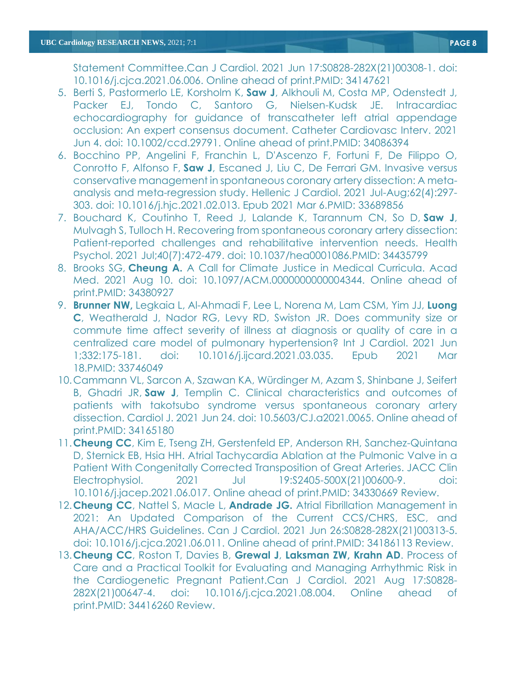Statement Committee.Can J Cardiol. 2021 Jun 17:S0828-282X(21)00308-1. doi: 10.1016/j.cjca.2021.06.006. Online ahead of print.PMID: 34147621

- 5. Berti S, Pastormerlo LE, Korsholm K, **Saw J**, Alkhouli M, Costa MP, Odenstedt J, Packer EJ, Tondo C, Santoro G, Nielsen-Kudsk JE. Intracardiac echocardiography for guidance of transcatheter left atrial appendage occlusion: An expert consensus document. Catheter Cardiovasc Interv. 2021 Jun 4. doi: 10.1002/ccd.29791. Online ahead of print.PMID: 34086394
- 6. Bocchino PP, Angelini F, Franchin L, D'Ascenzo F, Fortuni F, De Filippo O, Conrotto F, Alfonso F, **Saw J**, Escaned J, Liu C, De Ferrari GM. [Invasive versus](https://pubmed.ncbi.nlm.nih.gov/33689856/)  [conservative management in spontaneous coronary artery dissection: A meta](https://pubmed.ncbi.nlm.nih.gov/33689856/)[analysis and meta-regression study.](https://pubmed.ncbi.nlm.nih.gov/33689856/) Hellenic J Cardiol. 2021 Jul-Aug;62(4):297- 303. doi: 10.1016/j.hjc.2021.02.013. Epub 2021 Mar 6.PMID: 33689856
- 7. Bouchard K, Coutinho T, Reed J, Lalande K, Tarannum CN, So D, **Saw J**, Mulvagh S, Tulloch H. [Recovering from spontaneous coronary artery dissection:](https://pubmed.ncbi.nlm.nih.gov/34435799/)  [Patient-reported challenges and rehabilitative intervention needs.](https://pubmed.ncbi.nlm.nih.gov/34435799/) Health Psychol. 2021 Jul;40(7):472-479. doi: 10.1037/hea0001086.PMID: 34435799
- 8. Brooks SG, **Cheung A.** [A Call for Climate Justice in Medical Curricula.](https://pubmed.ncbi.nlm.nih.gov/34380927/) Acad Med. 2021 Aug 10. doi: 10.1097/ACM.0000000000004344. Online ahead of print.PMID: 34380927
- 9. **Brunner NW,** Legkaia L, Al-Ahmadi F, Lee L, Norena M, Lam CSM, Yim JJ, **Luong C**, Weatherald J, Nador RG, Levy RD, Swiston JR. [Does community size or](https://pubmed.ncbi.nlm.nih.gov/33746049/)  [commute time affect severity of illness at diagnosis or quality of care in a](https://pubmed.ncbi.nlm.nih.gov/33746049/)  [centralized care model of pulmonary hypertension?](https://pubmed.ncbi.nlm.nih.gov/33746049/) Int J Cardiol. 2021 Jun 1;332:175-181. doi: 10.1016/j.ijcard.2021.03.035. Epub 2021 Mar 18.PMID: 33746049
- 10.Cammann VL, Sarcon A, Szawan KA, Würdinger M, Azam S, Shinbane J, Seifert B, Ghadri JR, **Saw J**, Templin C. [Clinical characteristics and outcomes of](https://pubmed.ncbi.nlm.nih.gov/34165180/)  [patients with takotsubo syndrome versus spontaneous coronary artery](https://pubmed.ncbi.nlm.nih.gov/34165180/)  [dissection.](https://pubmed.ncbi.nlm.nih.gov/34165180/) Cardiol J. 2021 Jun 24. doi: 10.5603/CJ.a2021.0065. Online ahead of print.PMID: 34165180
- 11.**Cheung CC**, Kim E, Tseng ZH, Gerstenfeld EP, Anderson RH, Sanchez-Quintana D, Sternick EB, Hsia HH. [Atrial Tachycardia Ablation at the Pulmonic Valve in a](https://pubmed.ncbi.nlm.nih.gov/34330669/)  [Patient With Congenitally Corrected Transposition of Great Arteries.](https://pubmed.ncbi.nlm.nih.gov/34330669/) JACC Clin Electrophysiol. 2021 Jul 19:S2405-500X(21)00600-9. doi: 10.1016/j.jacep.2021.06.017. Online ahead of print.PMID: 34330669 Review.
- 12.**Cheung CC**, Nattel S, Macle L, **Andrade JG.** [Atrial Fibrillation Management in](https://pubmed.ncbi.nlm.nih.gov/34186113/)  [2021: An Updated Comparison of the Current CCS/CHRS, ESC, and](https://pubmed.ncbi.nlm.nih.gov/34186113/)  [AHA/ACC/HRS Guidelines.](https://pubmed.ncbi.nlm.nih.gov/34186113/) Can J Cardiol. 2021 Jun 26:S0828-282X(21)00313-5. doi: 10.1016/j.cjca.2021.06.011. Online ahead of print.PMID: 34186113 Review.
- 13.**Cheung CC**, Roston T, Davies B, **Grewal J**, **Laksman ZW, Krahn AD**. [Process of](https://pubmed.ncbi.nlm.nih.gov/34416260/)  [Care and a Practical Toolkit for Evaluating and Managing Arrhythmic Risk in](https://pubmed.ncbi.nlm.nih.gov/34416260/)  [the Cardiogenetic Pregnant Patient.C](https://pubmed.ncbi.nlm.nih.gov/34416260/)an J Cardiol. 2021 Aug 17:S0828- 282X(21)00647-4. doi: 10.1016/j.cjca.2021.08.004. Online ahead of print.PMID: 34416260 Review.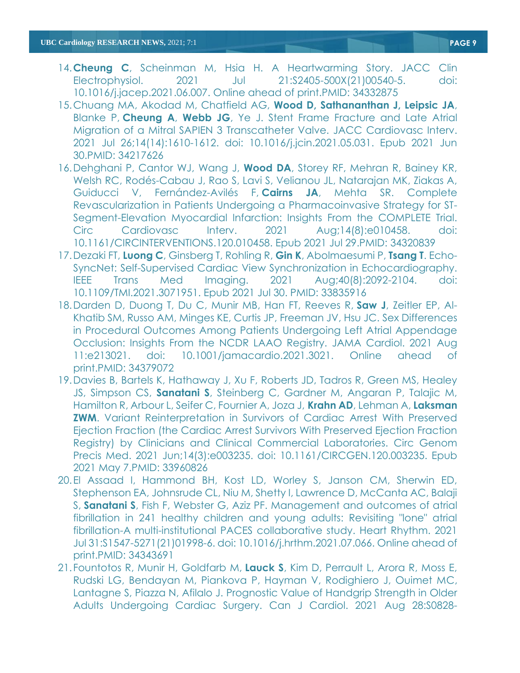- 14.**Cheung C**, Scheinman M, Hsia H. [A Heartwarming](https://pubmed.ncbi.nlm.nih.gov/34332875/) Story. JACC Clin Electrophysiol. 2021 Jul 21:S2405-500X(21)00540-5. doi: 10.1016/j.jacep.2021.06.007. Online ahead of print.PMID: 34332875
- 15.Chuang MA, Akodad M, Chatfield AG, **Wood D, Sathananthan J, Leipsic JA**, Blanke P, **Cheung A**, **Webb JG**, Ye J. [Stent Frame Fracture and Late Atrial](https://pubmed.ncbi.nlm.nih.gov/34217626/)  [Migration of a Mitral SAPIEN 3 Transcatheter Valve.](https://pubmed.ncbi.nlm.nih.gov/34217626/) JACC Cardiovasc Interv. 2021 Jul 26;14(14):1610-1612. doi: 10.1016/j.jcin.2021.05.031. Epub 2021 Jun 30.PMID: 34217626
- 16.Dehghani P, Cantor WJ, Wang J, **Wood DA**, Storey RF, Mehran R, Bainey KR, Welsh RC, Rodés-Cabau J, Rao S, Lavi S, Velianou JL, Natarajan MK, Ziakas A, Guiducci V, Fernández-Avilés F, **Cairns JA**, Mehta SR. [Complete](https://pubmed.ncbi.nlm.nih.gov/34320839/)  [Revascularization in Patients Undergoing a Pharmacoinvasive Strategy for ST-](https://pubmed.ncbi.nlm.nih.gov/34320839/)[Segment-Elevation Myocardial Infarction: Insights From the COMPLETE Trial.](https://pubmed.ncbi.nlm.nih.gov/34320839/) Circ Cardiovasc Interv. 2021 Aug;14(8):e010458. doi: 10.1161/CIRCINTERVENTIONS.120.010458. Epub 2021 Jul 29.PMID: 34320839
- 17.Dezaki FT, **Luong C**, Ginsberg T, Rohling R, **Gin K**, Abolmaesumi P, **Tsang T**. Echo-SyncNet: Self-Supervised Cardiac View Synchronization in Echocardiography. IEEE Trans Med Imaging. 2021 Aug;40(8):2092-2104. doi: 10.1109/TMI.2021.3071951. Epub 2021 Jul 30. PMID: 33835916
- 18.Darden D, Duong T, Du C, Munir MB, Han FT, Reeves R, **Saw J**, Zeitler EP, Al-Khatib SM, Russo AM, Minges KE, Curtis JP, Freeman JV, Hsu JC. [Sex Differences](https://pubmed.ncbi.nlm.nih.gov/34379072/) [in Procedural Outcomes Among Patients Undergoing Left Atrial Appendage](https://pubmed.ncbi.nlm.nih.gov/34379072/)  [Occlusion: Insights From the NCDR LAAO Registry.](https://pubmed.ncbi.nlm.nih.gov/34379072/) JAMA Cardiol. 2021 Aug 11:e213021. doi: 10.1001/jamacardio.2021.3021. Online ahead of print.PMID: 34379072
- 19.Davies B, Bartels K, Hathaway J, Xu F, Roberts JD, Tadros R, Green MS, Healey JS, Simpson CS, **Sanatani S**, Steinberg C, Gardner M, Angaran P, Talajic M, Hamilton R, Arbour L, Seifer C, Fournier A, Joza J, **Krahn AD**, Lehman A, **Laksman ZWM.** Variant Reinterpretation in Survivors of Cardiac Arrest With Preserved [Ejection Fraction \(the Cardiac Arrest Survivors With Preserved Ejection Fraction](https://pubmed.ncbi.nlm.nih.gov/33960826/)  [Registry\) by Clinicians and Clinical Commercial Laboratories.](https://pubmed.ncbi.nlm.nih.gov/33960826/) Circ Genom Precis Med. 2021 Jun;14(3):e003235. doi: 10.1161/CIRCGEN.120.003235. Epub 2021 May 7.PMID: 33960826
- 20.El Assaad I, Hammond BH, Kost LD, Worley S, Janson CM, Sherwin ED, Stephenson EA, Johnsrude CL, Niu M, Shetty I, Lawrence D, McCanta AC, Balaji S, **Sanatani S**, Fish F, Webster G, Aziz PF. [Management and outcomes of atrial](https://pubmed.ncbi.nlm.nih.gov/34343691/)  [fibrillation in 241 healthy children and young adults: Revisiting "lone" atrial](https://pubmed.ncbi.nlm.nih.gov/34343691/)  [fibrillation-A multi-institutional PACES collaborative study.](https://pubmed.ncbi.nlm.nih.gov/34343691/) Heart Rhythm. 2021 Jul 31:S1547-5271(21)01998-6. doi: 10.1016/j.hrthm.2021.07.066. Online ahead of print.PMID: 34343691
- 21.Fountotos R, Munir H, Goldfarb M, **Lauck S**, Kim D, Perrault L, Arora R, Moss E, Rudski LG, Bendayan M, Piankova P, Hayman V, Rodighiero J, Ouimet MC, Lantagne S, Piazza N, Afilalo J. [Prognostic Value of Handgrip Strength in Older](https://pubmed.ncbi.nlm.nih.gov/34464690/)  [Adults Undergoing Cardiac Surgery.](https://pubmed.ncbi.nlm.nih.gov/34464690/) Can J Cardiol. 2021 Aug 28:S0828-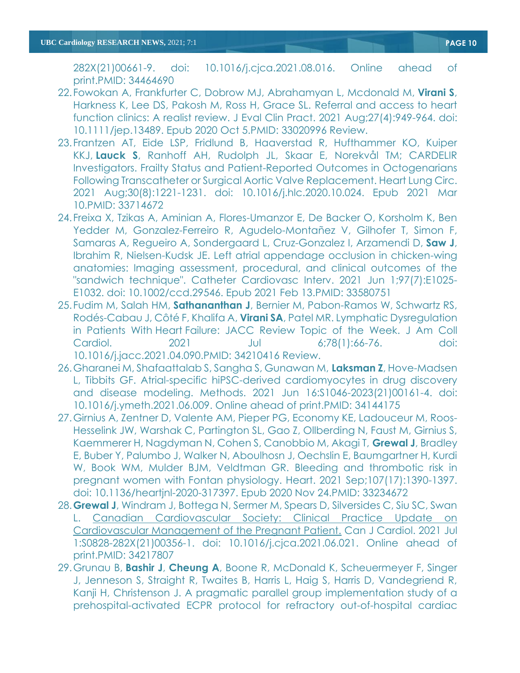282X(21)00661-9. doi: 10.1016/j.cjca.2021.08.016. Online ahead of print.PMID: 34464690

- 22.Fowokan A, Frankfurter C, Dobrow MJ, Abrahamyan L, Mcdonald M, **Virani S**, Harkness K, Lee DS, Pakosh M, Ross H, Grace SL. [Referral and access to heart](https://pubmed.ncbi.nlm.nih.gov/33020996/)  [function clinics: A realist review.](https://pubmed.ncbi.nlm.nih.gov/33020996/) J Eval Clin Pract. 2021 Aug;27(4):949-964. doi: 10.1111/jep.13489. Epub 2020 Oct 5.PMID: 33020996 Review.
- 23.Frantzen AT, Eide LSP, Fridlund B, Haaverstad R, Hufthammer KO, Kuiper KKJ, **Lauck S**, Ranhoff AH, Rudolph JL, Skaar E, Norekvål TM; CARDELIR Investigators. [Frailty Status and Patient-Reported Outcomes in Octogenarians](https://pubmed.ncbi.nlm.nih.gov/33714672/)  [Following Transcatheter or Surgical Aortic Valve Replacement.](https://pubmed.ncbi.nlm.nih.gov/33714672/) Heart Lung Circ. 2021 Aug;30(8):1221-1231. doi: 10.1016/j.hlc.2020.10.024. Epub 2021 Mar 10.PMID: 33714672
- 24.Freixa X, Tzikas A, Aminian A, Flores-Umanzor E, De Backer O, Korsholm K, Ben Yedder M, Gonzalez-Ferreiro R, Agudelo-Montañez V, Gilhofer T, Simon F, Samaras A, Regueiro A, Sondergaard L, Cruz-Gonzalez I, Arzamendi D, **Saw J**, Ibrahim R, Nielsen-Kudsk JE. [Left atrial appendage occlusion in chicken-wing](https://pubmed.ncbi.nlm.nih.gov/33580751/)  [anatomies: Imaging assessment, procedural, and clinical outcomes of the](https://pubmed.ncbi.nlm.nih.gov/33580751/)  ["sandwich technique".](https://pubmed.ncbi.nlm.nih.gov/33580751/) Catheter Cardiovasc Interv. 2021 Jun 1;97(7):E1025- E1032. doi: 10.1002/ccd.29546. Epub 2021 Feb 13.PMID: 33580751
- 25.Fudim M, Salah HM, **Sathananthan J**, Bernier M, Pabon-Ramos W, Schwartz RS, Rodés-Cabau J, Côté F, Khalifa A, **Virani SA**, Patel MR. [Lymphatic Dysregulation](https://pubmed.ncbi.nlm.nih.gov/34210416/)  in Patients With Heart [Failure: JACC Review Topic of the Week.](https://pubmed.ncbi.nlm.nih.gov/34210416/) J Am Coll Cardiol. 2021 Jul 6;78(1):66-76. doi: 10.1016/j.jacc.2021.04.090.PMID: 34210416 Review.
- 26.Gharanei M, Shafaattalab S, Sangha S, Gunawan M, **Laksman Z**, Hove-Madsen L, Tibbits GF. [Atrial-specific hiPSC-derived cardiomyocytes in drug discovery](https://pubmed.ncbi.nlm.nih.gov/34144175/)  [and disease modeling.](https://pubmed.ncbi.nlm.nih.gov/34144175/) Methods. 2021 Jun 16:S1046-2023(21)00161-4. doi: 10.1016/j.ymeth.2021.06.009. Online ahead of print.PMID: 34144175
- 27.Girnius A, Zentner D, Valente AM, Pieper PG, Economy KE, Ladouceur M, Roos-Hesselink JW, Warshak C, Partington SL, Gao Z, Ollberding N, Faust M, Girnius S, Kaemmerer H, Nagdyman N, Cohen S, Canobbio M, Akagi T, **Grewal J**, Bradley E, Buber Y, Palumbo J, Walker N, Aboulhosn J, Oechslin E, Baumgartner H, Kurdi W, Book WM, Mulder BJM, Veldtman GR. [Bleeding and thrombotic risk in](https://pubmed.ncbi.nlm.nih.gov/33234672/)  [pregnant women with Fontan physiology.](https://pubmed.ncbi.nlm.nih.gov/33234672/) Heart. 2021 Sep;107(17):1390-1397. doi: 10.1136/heartjnl-2020-317397. Epub 2020 Nov 24.PMID: 33234672
- 28.**Grewal J**, Windram J, Bottega N, Sermer M, Spears D, Silversides C, Siu SC, Swan L. [Canadian Cardiovascular Society: Clinical Practice Update on](https://pubmed.ncbi.nlm.nih.gov/34217807/)  [Cardiovascular Management of the Pregnant Patient.](https://pubmed.ncbi.nlm.nih.gov/34217807/) Can J Cardiol. 2021 Jul 1:S0828-282X(21)00356-1. doi: 10.1016/j.cjca.2021.06.021. Online ahead of print.PMID: 34217807
- 29.Grunau B, **Bashir J**, **Cheung A**, Boone R, McDonald K, Scheuermeyer F, Singer J, Jenneson S, Straight R, Twaites B, Harris L, Haig S, Harris D, Vandegriend R, Kanji H, Christenson J. [A pragmatic parallel group implementation study of a](https://pubmed.ncbi.nlm.nih.gov/34384821/)  [prehospital-activated ECPR protocol for refractory out-of-hospital cardiac](https://pubmed.ncbi.nlm.nih.gov/34384821/)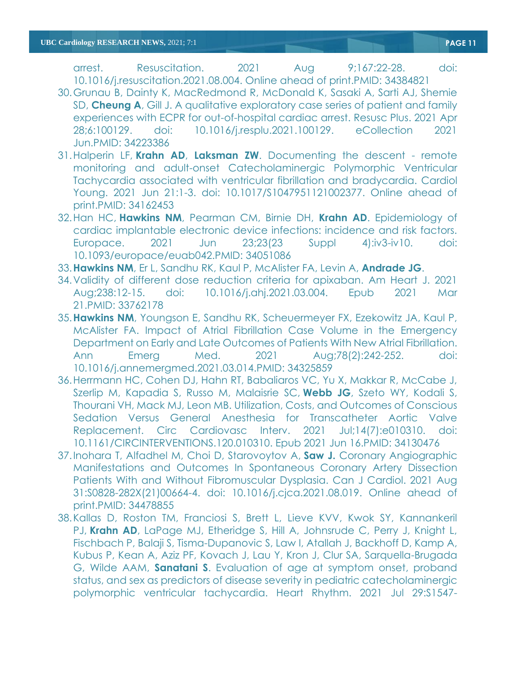[arrest.](https://pubmed.ncbi.nlm.nih.gov/34384821/) Resuscitation. 2021 Aug 9;167:22-28. doi: 10.1016/j.resuscitation.2021.08.004. Online ahead of print.PMID: 34384821

- 30.Grunau B, Dainty K, MacRedmond R, McDonald K, Sasaki A, Sarti AJ, Shemie SD, **Cheung A**, Gill J. [A qualitative exploratory case series of patient and family](https://pubmed.ncbi.nlm.nih.gov/34223386/)  [experiences with ECPR for out-of-hospital cardiac arrest.](https://pubmed.ncbi.nlm.nih.gov/34223386/) Resusc Plus. 2021 Apr 28;6:100129. doi: 10.1016/j.resplu.2021.100129. eCollection 2021 Jun.PMID: 34223386
- 31.Halperin LF, **Krahn AD**, **Laksman ZW**. [Documenting the descent -](https://pubmed.ncbi.nlm.nih.gov/34162453/) remote [monitoring and adult-onset Catecholaminergic Polymorphic Ventricular](https://pubmed.ncbi.nlm.nih.gov/34162453/)  [Tachycardia associated with ventricular fibrillation and bradycardia.](https://pubmed.ncbi.nlm.nih.gov/34162453/) Cardiol Young. 2021 Jun 21:1-3. doi: 10.1017/S1047951121002377. Online ahead of print.PMID: 34162453
- 32.Han HC, **Hawkins NM**, Pearman CM, Birnie DH, **Krahn AD**. [Epidemiology of](https://pubmed.ncbi.nlm.nih.gov/34051086/)  [cardiac implantable electronic device infections: incidence and risk factors.](https://pubmed.ncbi.nlm.nih.gov/34051086/) Europace. 2021 Jun 23;23(23 Suppl 4):iv3-iv10. doi: 10.1093/europace/euab042.PMID: 34051086
- 33.**Hawkins NM**, Er L, Sandhu RK, Kaul P, McAlister FA, Levin A, **Andrade JG**.
- 34[.Validity of different dose reduction criteria for apixaban.](https://pubmed.ncbi.nlm.nih.gov/33762178/) Am Heart J. 2021 Aug;238:12-15. doi: 10.1016/j.ahj.2021.03.004. Epub 2021 Mar 21.PMID: 33762178
- 35.**Hawkins NM**, Youngson E, Sandhu RK, Scheuermeyer FX, Ezekowitz JA, Kaul P, McAlister FA. [Impact of Atrial Fibrillation Case Volume in the Emergency](https://pubmed.ncbi.nlm.nih.gov/34325859/)  [Department on Early and Late Outcomes of Patients With New Atrial Fibrillation.](https://pubmed.ncbi.nlm.nih.gov/34325859/) Ann Emerg Med. 2021 Aug;78(2):242-252. doi: 10.1016/j.annemergmed.2021.03.014.PMID: 34325859
- 36.Herrmann HC, Cohen DJ, Hahn RT, Babaliaros VC, Yu X, Makkar R, McCabe J, Szerlip M, Kapadia S, Russo M, Malaisrie SC, **Webb JG**, Szeto WY, Kodali S, Thourani VH, Mack MJ, Leon MB. Utilization, Costs, and Outcomes of Conscious Sedation Versus General Anesthesia for Transcatheter Aortic Valve Replacement. Circ Cardiovasc Interv. 2021 Jul;14(7):e010310. doi: 10.1161/CIRCINTERVENTIONS.120.010310. Epub 2021 Jun 16.PMID: 34130476
- 37.Inohara T, Alfadhel M, Choi D, Starovoytov A, **Saw J.** [Coronary Angiographic](https://pubmed.ncbi.nlm.nih.gov/34478855/)  [Manifestations and Outcomes In Spontaneous Coronary Artery Dissection](https://pubmed.ncbi.nlm.nih.gov/34478855/)  [Patients With and Without Fibromuscular Dysplasia.](https://pubmed.ncbi.nlm.nih.gov/34478855/) Can J Cardiol. 2021 Aug 31:S0828-282X(21)00664-4. doi: 10.1016/j.cjca.2021.08.019. Online ahead of print.PMID: 34478855
- 38.Kallas D, Roston TM, Franciosi S, Brett L, Lieve KVV, Kwok SY, Kannankeril PJ, **Krahn AD**, LaPage MJ, Etheridge S, Hill A, Johnsrude C, Perry J, Knight L, Fischbach P, Balaji S, Tisma-Dupanovic S, Law I, Atallah J, Backhoff D, Kamp A, Kubus P, Kean A, Aziz PF, Kovach J, Lau Y, Kron J, Clur SA, Sarquella-Brugada G, Wilde AAM, **Sanatani S**. [Evaluation of age at symptom onset, proband](https://pubmed.ncbi.nlm.nih.gov/34333088/)  [status, and sex as predictors of disease severity in pediatric catecholaminergic](https://pubmed.ncbi.nlm.nih.gov/34333088/)  [polymorphic ventricular tachycardia.](https://pubmed.ncbi.nlm.nih.gov/34333088/) Heart Rhythm. 2021 Jul 29:S1547-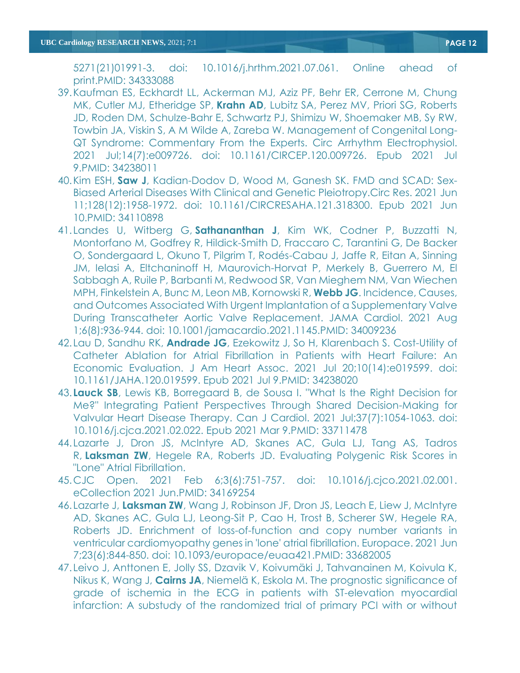5271(21)01991-3. doi: 10.1016/j.hrthm.2021.07.061. Online ahead of print.PMID: 34333088

- 39.Kaufman ES, Eckhardt LL, Ackerman MJ, Aziz PF, Behr ER, Cerrone M, Chung MK, Cutler MJ, Etheridge SP, **Krahn AD**, Lubitz SA, Perez MV, Priori SG, Roberts JD, Roden DM, Schulze-Bahr E, Schwartz PJ, Shimizu W, Shoemaker MB, Sy RW, Towbin JA, Viskin S, A M Wilde A, Zareba W. [Management of Congenital Long-](https://pubmed.ncbi.nlm.nih.gov/34238011/)[QT Syndrome: Commentary From the Experts.](https://pubmed.ncbi.nlm.nih.gov/34238011/) Circ Arrhythm Electrophysiol. 2021 Jul;14(7):e009726. doi: 10.1161/CIRCEP.120.009726. Epub 2021 Jul 9.PMID: 34238011
- 40.Kim ESH, **Saw J**, Kadian-Dodov D, Wood M, Ganesh SK. [FMD and SCAD: Sex-](https://pubmed.ncbi.nlm.nih.gov/34110898/)[Biased Arterial Diseases With Clinical and Genetic Pleiotropy.C](https://pubmed.ncbi.nlm.nih.gov/34110898/)irc Res. 2021 Jun 11;128(12):1958-1972. doi: 10.1161/CIRCRESAHA.121.318300. Epub 2021 Jun 10.PMID: 34110898
- 41.Landes U, Witberg G, **Sathananthan J**, Kim WK, Codner P, Buzzatti N, Montorfano M, Godfrey R, Hildick-Smith D, Fraccaro C, Tarantini G, De Backer O, Sondergaard L, Okuno T, Pilgrim T, Rodés-Cabau J, Jaffe R, Eitan A, Sinning JM, Ielasi A, Eltchaninoff H, Maurovich-Horvat P, Merkely B, Guerrero M, El Sabbagh A, Ruile P, Barbanti M, Redwood SR, Van Mieghem NM, Van Wiechen MPH, Finkelstein A, Bunc M, Leon MB, Kornowski R, **Webb JG**. [Incidence, Causes,](https://pubmed.ncbi.nlm.nih.gov/34009236/)  [and Outcomes Associated With Urgent Implantation of a Supplementary Valve](https://pubmed.ncbi.nlm.nih.gov/34009236/)  [During Transcatheter Aortic Valve Replacement.](https://pubmed.ncbi.nlm.nih.gov/34009236/) JAMA Cardiol. 2021 Aug 1;6(8):936-944. doi: 10.1001/jamacardio.2021.1145.PMID: 34009236
- 42.Lau D, Sandhu RK, **Andrade JG**, Ezekowitz J, So H, Klarenbach S. [Cost-Utility of](https://pubmed.ncbi.nlm.nih.gov/34238020/)  [Catheter Ablation for Atrial Fibrillation in Patients with Heart Failure: An](https://pubmed.ncbi.nlm.nih.gov/34238020/)  [Economic Evaluation.](https://pubmed.ncbi.nlm.nih.gov/34238020/) J Am Heart Assoc. 2021 Jul 20;10(14):e019599. doi: 10.1161/JAHA.120.019599. Epub 2021 Jul 9.PMID: 34238020
- 43. **Lauck SB**, Lewis KB, Borregaard B, de Sousa I. ["What Is the Right Decision for](https://pubmed.ncbi.nlm.nih.gov/33711478/)  [Me?" Integrating Patient Perspectives Through Shared Decision-Making for](https://pubmed.ncbi.nlm.nih.gov/33711478/)  [Valvular Heart Disease Therapy.](https://pubmed.ncbi.nlm.nih.gov/33711478/) Can J Cardiol. 2021 Jul;37(7):1054-1063. doi: 10.1016/j.cjca.2021.02.022. Epub 2021 Mar 9.PMID: 33711478
- 44.Lazarte J, Dron JS, McIntyre AD, Skanes AC, Gula LJ, Tang AS, Tadros R, **Laksman ZW**, Hegele RA, Roberts JD. [Evaluating Polygenic Risk Scores in](https://pubmed.ncbi.nlm.nih.gov/34169254/)  ["Lone" Atrial Fibrillation.](https://pubmed.ncbi.nlm.nih.gov/34169254/)
- 45.CJC Open. 2021 Feb 6;3(6):751-757. doi: 10.1016/j.cjco.2021.02.001. eCollection 2021 Jun.PMID: 34169254
- 46.Lazarte J, **Laksman ZW**, Wang J, Robinson JF, Dron JS, Leach E, Liew J, McIntyre AD, Skanes AC, Gula LJ, Leong-Sit P, Cao H, Trost B, Scherer SW, Hegele RA, Roberts JD. [Enrichment of loss-of-function and copy number variants in](https://pubmed.ncbi.nlm.nih.gov/33682005/)  [ventricular cardiomyopathy genes in 'lone' atrial fibrillation.](https://pubmed.ncbi.nlm.nih.gov/33682005/) Europace. 2021 Jun 7;23(6):844-850. doi: 10.1093/europace/euaa421.PMID: 33682005
- 47.Leivo J, Anttonen E, Jolly SS, Dzavik V, Koivumäki J, Tahvanainen M, Koivula K, Nikus K, Wang J, **Cairns JA**, Niemelä K, Eskola M. [The prognostic significance of](https://pubmed.ncbi.nlm.nih.gov/34365136/)  [grade of ischemia in the ECG in patients with ST-elevation myocardial](https://pubmed.ncbi.nlm.nih.gov/34365136/)  [infarction: A substudy of the randomized trial of primary PCI with or without](https://pubmed.ncbi.nlm.nih.gov/34365136/)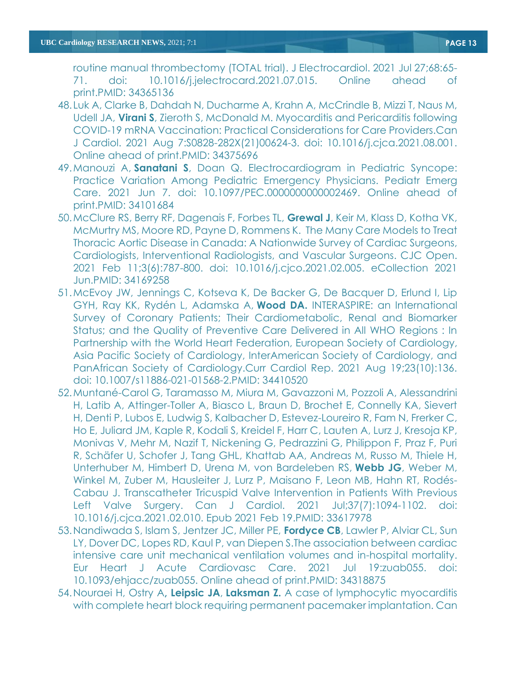[routine manual thrombectomy \(TOTAL trial\).](https://pubmed.ncbi.nlm.nih.gov/34365136/) J Electrocardiol. 2021 Jul 27;68:65- 71. doi: 10.1016/j.jelectrocard.2021.07.015. Online ahead of print.PMID: 34365136

- 48.Luk A, Clarke B, Dahdah N, Ducharme A, Krahn A, McCrindle B, Mizzi T, Naus M, Udell JA, **Virani S**, Zieroth S, McDonald M. [Myocarditis and Pericarditis following](https://pubmed.ncbi.nlm.nih.gov/34375696/)  [COVID-19 mRNA Vaccination: Practical Considerations for Care Providers.C](https://pubmed.ncbi.nlm.nih.gov/34375696/)an J Cardiol. 2021 Aug 7:S0828-282X(21)00624-3. doi: 10.1016/j.cjca.2021.08.001. Online ahead of print.PMID: 34375696
- 49.Manouzi A, **Sanatani S**, Doan Q. [Electrocardiogram in Pediatric Syncope:](https://pubmed.ncbi.nlm.nih.gov/34101684/)  [Practice Variation Among Pediatric Emergency Physicians.](https://pubmed.ncbi.nlm.nih.gov/34101684/) Pediatr Emerg Care. 2021 Jun 7. doi: 10.1097/PEC.0000000000002469. Online ahead of print.PMID: 34101684
- 50.McClure RS, Berry RF, Dagenais F, Forbes TL, **Grewal J**, Keir M, Klass D, Kotha VK, McMurtry MS, Moore RD, Payne D, Rommens K. [The Many Care Models to Treat](https://pubmed.ncbi.nlm.nih.gov/34169258/)  [Thoracic Aortic Disease in Canada: A Nationwide Survey of Cardiac Surgeons,](https://pubmed.ncbi.nlm.nih.gov/34169258/)  [Cardiologists, Interventional Radiologists, and Vascular Surgeons.](https://pubmed.ncbi.nlm.nih.gov/34169258/) CJC Open. 2021 Feb 11;3(6):787-800. doi: 10.1016/j.cjco.2021.02.005. eCollection 2021 Jun.PMID: 34169258
- 51.McEvoy JW, Jennings C, Kotseva K, De Backer G, De Bacquer D, Erlund I, Lip GYH, Ray KK, Rydén L, Adamska A, **Wood DA.** INTERASPIRE: an International Survey of Coronary Patients; Their Cardiometabolic, Renal and Biomarker Status; and the Quality of Preventive Care Delivered in All WHO Regions : In Partnership with the World Heart Federation, European Society of Cardiology, Asia Pacific Society of Cardiology, InterAmerican Society of Cardiology, and PanAfrican Society of Cardiology.Curr Cardiol Rep. 2021 Aug 19;23(10):136. doi: 10.1007/s11886-021-01568-2.PMID: 34410520
- 52.Muntané-Carol G, Taramasso M, Miura M, Gavazzoni M, Pozzoli A, Alessandrini H, Latib A, Attinger-Toller A, Biasco L, Braun D, Brochet E, Connelly KA, Sievert H, Denti P, Lubos E, Ludwig S, Kalbacher D, Estevez-Loureiro R, Fam N, Frerker C, Ho E, Juliard JM, Kaple R, Kodali S, Kreidel F, Harr C, Lauten A, Lurz J, Kresoja KP, Monivas V, Mehr M, Nazif T, Nickening G, Pedrazzini G, Philippon F, Praz F, Puri R, Schäfer U, Schofer J, Tang GHL, Khattab AA, Andreas M, Russo M, Thiele H, Unterhuber M, Himbert D, Urena M, von Bardeleben RS, **Webb JG**, Weber M, Winkel M, Zuber M, Hausleiter J, Lurz P, Maisano F, Leon MB, Hahn RT, Rodés-Cabau J. [Transcatheter Tricuspid Valve Intervention in Patients With Previous](https://pubmed.ncbi.nlm.nih.gov/33617978/)  [Left Valve Surgery.](https://pubmed.ncbi.nlm.nih.gov/33617978/) Can J Cardiol. 2021 Jul;37(7):1094-1102. doi: 10.1016/j.cjca.2021.02.010. Epub 2021 Feb 19.PMID: 33617978
- 53.Nandiwada S, Islam S, Jentzer JC, Miller PE, **Fordyce CB**, Lawler P, Alviar CL, Sun LY, Dover DC, Lopes RD, Kaul P, van Diepen S[.The association between cardiac](https://pubmed.ncbi.nlm.nih.gov/34318875/)  [intensive care unit mechanical ventilation volumes and in-hospital mortality.](https://pubmed.ncbi.nlm.nih.gov/34318875/) Eur Heart J Acute Cardiovasc Care. 2021 Jul 19:zuab055. doi: 10.1093/ehjacc/zuab055. Online ahead of print.PMID: 34318875
- 54.Nouraei H, Ostry A**, Leipsic JA**, **Laksman Z.** [A case of lymphocytic myocarditis](https://pubmed.ncbi.nlm.nih.gov/34147623/)  [with complete heart block requiring permanent pacemaker implantation.](https://pubmed.ncbi.nlm.nih.gov/34147623/) Can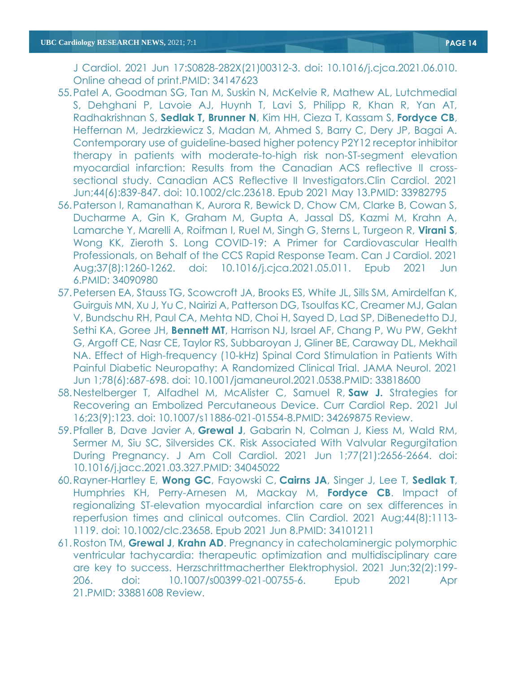J Cardiol. 2021 Jun 17:S0828-282X(21)00312-3. doi: 10.1016/j.cjca.2021.06.010. Online ahead of print.PMID: 34147623

- 55.Patel A, Goodman SG, Tan M, Suskin N, McKelvie R, Mathew AL, Lutchmedial S, Dehghani P, Lavoie AJ, Huynh T, Lavi S, Philipp R, Khan R, Yan AT, Radhakrishnan S, **Sedlak T, Brunner N**, Kim HH, Cieza T, Kassam S, **Fordyce CB**, Heffernan M, Jedrzkiewicz S, Madan M, Ahmed S, Barry C, Dery JP, Bagai A. [Contemporary use of guideline-based higher potency P2Y12 receptor inhibitor](https://pubmed.ncbi.nlm.nih.gov/33982795/)  [therapy in patients with moderate-to-high risk non-ST-segment elevation](https://pubmed.ncbi.nlm.nih.gov/33982795/)  [myocardial infarction: Results from the Canadian ACS reflective II cross](https://pubmed.ncbi.nlm.nih.gov/33982795/)[sectional study.](https://pubmed.ncbi.nlm.nih.gov/33982795/) Canadian ACS Reflective II Investigators.Clin Cardiol. 2021 Jun;44(6):839-847. doi: 10.1002/clc.23618. Epub 2021 May 13.PMID: 33982795
- 56.Paterson I, Ramanathan K, Aurora R, Bewick D, Chow CM, Clarke B, Cowan S, Ducharme A, Gin K, Graham M, Gupta A, Jassal DS, Kazmi M, Krahn A, Lamarche Y, Marelli A, Roifman I, Ruel M, Singh G, Sterns L, Turgeon R, **Virani S**, Wong KK, Zieroth S. [Long COVID-19: A Primer for Cardiovascular Health](https://pubmed.ncbi.nlm.nih.gov/34090980/)  [Professionals, on Behalf of the CCS Rapid Response Team.](https://pubmed.ncbi.nlm.nih.gov/34090980/) Can J Cardiol. 2021 Aug;37(8):1260-1262. doi: 10.1016/j.cjca.2021.05.011. Epub 2021 Jun 6.PMID: 34090980
- 57.Petersen EA, Stauss TG, Scowcroft JA, Brooks ES, White JL, Sills SM, Amirdelfan K, Guirguis MN, Xu J, Yu C, Nairizi A, Patterson DG, Tsoulfas KC, Creamer MJ, Galan V, Bundschu RH, Paul CA, Mehta ND, Choi H, Sayed D, Lad SP, DiBenedetto DJ, Sethi KA, Goree JH, **Bennett MT**, Harrison NJ, Israel AF, Chang P, Wu PW, Gekht G, Argoff CE, Nasr CE, Taylor RS, Subbaroyan J, Gliner BE, Caraway DL, Mekhail NA. [Effect of High-frequency \(10-kHz\) Spinal Cord Stimulation in Patients With](https://pubmed.ncbi.nlm.nih.gov/33818600/)  [Painful Diabetic Neuropathy: A Randomized Clinical Trial.](https://pubmed.ncbi.nlm.nih.gov/33818600/) JAMA Neurol. 2021 Jun 1;78(6):687-698. doi: 10.1001/jamaneurol.2021.0538.PMID: 33818600
- 58.Nestelberger T, Alfadhel M, McAlister C, Samuel R, **Saw J.** [Strategies for](https://pubmed.ncbi.nlm.nih.gov/34269875/)  [Recovering an Embolized Percutaneous Device.](https://pubmed.ncbi.nlm.nih.gov/34269875/) Curr Cardiol Rep. 2021 Jul 16;23(9):123. doi: 10.1007/s11886-021-01554-8.PMID: 34269875 Review.
- 59.Pfaller B, Dave Javier A, **Grewal J**, Gabarin N, Colman J, Kiess M, Wald RM, Sermer M, Siu SC, Silversides CK. [Risk Associated With Valvular Regurgitation](https://pubmed.ncbi.nlm.nih.gov/34045022/)  [During Pregnancy.](https://pubmed.ncbi.nlm.nih.gov/34045022/) J Am Coll Cardiol. 2021 Jun 1;77(21):2656-2664. doi: 10.1016/j.jacc.2021.03.327.PMID: 34045022
- 60.Rayner-Hartley E, **Wong GC**, Fayowski C, **Cairns JA**, Singer J, Lee T, **Sedlak T**, Humphries KH, Perry-Arnesen M, Mackay M, **Fordyce CB**. [Impact of](https://pubmed.ncbi.nlm.nih.gov/34101211/)  [regionalizing ST-elevation myocardial infarction care on sex differences in](https://pubmed.ncbi.nlm.nih.gov/34101211/)  [reperfusion times and clinical outcomes.](https://pubmed.ncbi.nlm.nih.gov/34101211/) Clin Cardiol. 2021 Aug;44(8):1113- 1119. doi: 10.1002/clc.23658. Epub 2021 Jun 8.PMID: 34101211
- 61.Roston TM, **Grewal J**, **Krahn AD**. [Pregnancy in catecholaminergic polymorphic](https://pubmed.ncbi.nlm.nih.gov/33881608/)  [ventricular tachycardia: therapeutic optimization and multidisciplinary care](https://pubmed.ncbi.nlm.nih.gov/33881608/)  [are key to success.](https://pubmed.ncbi.nlm.nih.gov/33881608/) Herzschrittmacherther Elektrophysiol. 2021 Jun;32(2):199- 206. doi: 10.1007/s00399-021-00755-6. Epub 2021 Apr 21.PMID: 33881608 Review.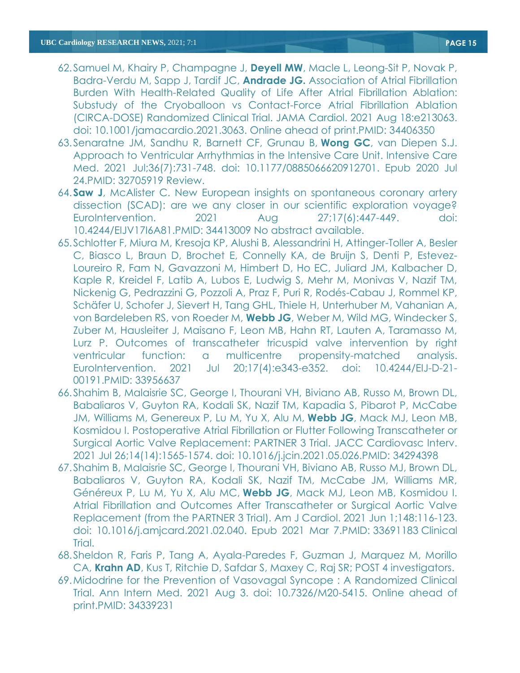- 62.Samuel M, Khairy P, Champagne J, **Deyell MW**, Macle L, Leong-Sit P, Novak P, Badra-Verdu M, Sapp J, Tardif JC, **Andrade JG.** [Association of Atrial Fibrillation](https://pubmed.ncbi.nlm.nih.gov/34406350/)  [Burden With Health-Related Quality of Life After Atrial Fibrillation Ablation:](https://pubmed.ncbi.nlm.nih.gov/34406350/)  [Substudy of the Cryoballoon vs Contact-Force Atrial Fibrillation Ablation](https://pubmed.ncbi.nlm.nih.gov/34406350/)  [\(CIRCA-DOSE\) Randomized Clinical Trial.](https://pubmed.ncbi.nlm.nih.gov/34406350/) JAMA Cardiol. 2021 Aug 18:e213063. doi: 10.1001/jamacardio.2021.3063. Online ahead of print.PMID: 34406350
- 63.Senaratne JM, Sandhu R, Barnett CF, Grunau B, **Wong GC**, van Diepen S.J. [Approach to Ventricular Arrhythmias in the Intensive Care Unit.](https://pubmed.ncbi.nlm.nih.gov/32705919/) Intensive Care Med. 2021 Jul;36(7):731-748. doi: 10.1177/0885066620912701. Epub 2020 Jul 24.PMID: 32705919 Review.
- 64.**Saw J**, McAlister C. New European insights on spontaneous coronary artery dissection (SCAD): are we any closer in our scientific exploration voyage? EuroIntervention. 2021 Aug 27;17(6):447-449. doi: 10.4244/EIJV17I6A81.PMID: 34413009 No abstract available.
- 65.Schlotter F, Miura M, Kresoja KP, Alushi B, Alessandrini H, Attinger-Toller A, Besler C, Biasco L, Braun D, Brochet E, Connelly KA, de Bruijn S, Denti P, Estevez-Loureiro R, Fam N, Gavazzoni M, Himbert D, Ho EC, Juliard JM, Kalbacher D, Kaple R, Kreidel F, Latib A, Lubos E, Ludwig S, Mehr M, Monivas V, Nazif TM, Nickenig G, Pedrazzini G, Pozzoli A, Praz F, Puri R, Rodés-Cabau J, Rommel KP, Schäfer U, Schofer J, Sievert H, Tang GHL, Thiele H, Unterhuber M, Vahanian A, von Bardeleben RS, von Roeder M, **Webb JG**, Weber M, Wild MG, Windecker S, Zuber M, Hausleiter J, Maisano F, Leon MB, Hahn RT, Lauten A, Taramasso M, Lurz P. Outcomes of [transcatheter tricuspid valve intervention by right](https://pubmed.ncbi.nlm.nih.gov/33956637/)  [ventricular function: a multicentre propensity-matched analysis.](https://pubmed.ncbi.nlm.nih.gov/33956637/) EuroIntervention. 2021 Jul 20;17(4):e343-e352. doi: 10.4244/EIJ-D-21- 00191.PMID: 33956637
- 66.Shahim B, Malaisrie SC, George I, Thourani VH, Biviano AB, Russo M, Brown DL, Babaliaros V, Guyton RA, Kodali SK, Nazif TM, Kapadia S, Pibarot P, McCabe JM, Williams M, Genereux P, Lu M, Yu X, Alu M, **Webb JG**, Mack MJ, Leon MB, Kosmidou I. [Postoperative Atrial Fibrillation or Flutter Following Transcatheter or](https://pubmed.ncbi.nlm.nih.gov/34294398/)  [Surgical Aortic Valve Replacement: PARTNER 3 Trial.](https://pubmed.ncbi.nlm.nih.gov/34294398/) JACC Cardiovasc Interv. 2021 Jul 26;14(14):1565-1574. doi: 10.1016/j.jcin.2021.05.026.PMID: 34294398
- 67.Shahim B, Malaisrie SC, George I, Thourani VH, Biviano AB, Russo MJ, Brown DL, Babaliaros V, Guyton RA, Kodali SK, Nazif TM, McCabe JM, Williams MR, Généreux P, Lu M, Yu X, Alu MC, **Webb JG**, Mack MJ, Leon MB, Kosmidou I. [Atrial Fibrillation and Outcomes After Transcatheter or Surgical Aortic Valve](https://pubmed.ncbi.nlm.nih.gov/33691183/)  [Replacement \(from the PARTNER 3 Trial\).](https://pubmed.ncbi.nlm.nih.gov/33691183/) Am J Cardiol. 2021 Jun 1;148:116-123. doi: 10.1016/j.amjcard.2021.02.040. Epub 2021 Mar 7.PMID: 33691183 Clinical Trial.
- 68.Sheldon R, Faris P, Tang A, Ayala-Paredes F, Guzman J, Marquez M, Morillo CA, **Krahn AD**, Kus T, Ritchie D, Safdar S, Maxey C, Raj SR; POST 4 investigators.
- 69[.Midodrine for the Prevention of Vasovagal Syncope : A Randomized Clinical](https://pubmed.ncbi.nlm.nih.gov/34339231/)  [Trial.](https://pubmed.ncbi.nlm.nih.gov/34339231/) Ann Intern Med. 2021 Aug 3. doi: 10.7326/M20-5415. Online ahead of print.PMID: 34339231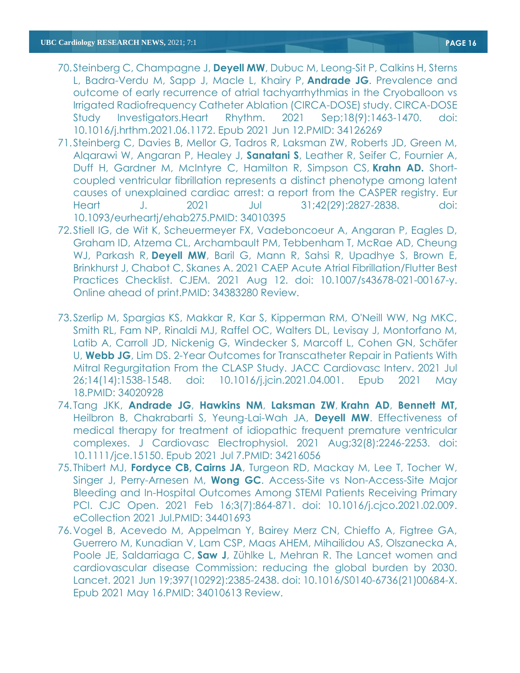- 70.Steinberg C, Champagne J, **Deyell MW**, Dubuc M, Leong-Sit P, Calkins H, Sterns L, Badra-Verdu M, Sapp J, Macle L, Khairy P, **Andrade JG**. [Prevalence and](https://pubmed.ncbi.nlm.nih.gov/34126269/)  [outcome of early recurrence of atrial tachyarrhythmias in the Cryoballoon vs](https://pubmed.ncbi.nlm.nih.gov/34126269/)  [Irrigated Radiofrequency Catheter Ablation \(CIRCA-DOSE\) study.](https://pubmed.ncbi.nlm.nih.gov/34126269/) CIRCA-DOSE Study Investigators.Heart Rhythm. 2021 Sep;18(9):1463-1470. doi: 10.1016/j.hrthm.2021.06.1172. Epub 2021 Jun 12.PMID: 34126269
- 71.Steinberg C, Davies B, Mellor G, Tadros R, Laksman ZW, Roberts JD, Green M, Alqarawi W, Angaran P, Healey J, **Sanatani S**, Leather R, Seifer C, Fournier A, Duff H, Gardner M, McIntyre C, Hamilton R, Simpson CS, **Krahn AD.** [Short](https://pubmed.ncbi.nlm.nih.gov/34010395/)[coupled ventricular fibrillation represents a distinct phenotype among latent](https://pubmed.ncbi.nlm.nih.gov/34010395/)  [causes of unexplained cardiac arrest: a report from the CASPER registry.](https://pubmed.ncbi.nlm.nih.gov/34010395/) Eur Heart J. 2021 Jul 31;42(29):2827-2838. doi: 10.1093/eurheartj/ehab275.PMID: 34010395
- 72.Stiell IG, de Wit K, Scheuermeyer FX, Vadeboncoeur A, Angaran P, Eagles D, Graham ID, Atzema CL, Archambault PM, Tebbenham T, McRae AD, Cheung WJ, Parkash R, **Deyell MW**, Baril G, Mann R, Sahsi R, Upadhye S, Brown E, Brinkhurst J, Chabot C, Skanes A. [2021 CAEP Acute Atrial Fibrillation/Flutter Best](https://pubmed.ncbi.nlm.nih.gov/34383280/)  [Practices Checklist.](https://pubmed.ncbi.nlm.nih.gov/34383280/) CJEM. 2021 Aug 12. doi: 10.1007/s43678-021-00167-y. Online ahead of print.PMID: 34383280 Review.
- 73.Szerlip M, Spargias KS, Makkar R, Kar S, Kipperman RM, O'Neill WW, Ng MKC, Smith RL, Fam NP, Rinaldi MJ, Raffel OC, Walters DL, Levisay J, Montorfano M, Latib A, Carroll JD, Nickenig G, Windecker S, Marcoff L, Cohen GN, Schäfer U, **Webb JG**, Lim DS. [2-Year Outcomes for Transcatheter Repair in Patients With](https://pubmed.ncbi.nlm.nih.gov/34020928/)  [Mitral Regurgitation From the CLASP Study.](https://pubmed.ncbi.nlm.nih.gov/34020928/) JACC Cardiovasc Interv. 2021 Jul 26;14(14):1538-1548. doi: 10.1016/j.jcin.2021.04.001. Epub 2021 May 18.PMID: 34020928
- 74. Tang JKK, **Andrade JG**, **Hawkins NM**, **Laksman ZW**, **Krahn AD**, **Bennett MT,** Heilbron B, Chakrabarti S, Yeung-Lai-Wah JA, **Deyell MW**. [Effectiveness of](https://pubmed.ncbi.nlm.nih.gov/34216056/)  [medical therapy for treatment of idiopathic frequent premature ventricular](https://pubmed.ncbi.nlm.nih.gov/34216056/)  [complexes.](https://pubmed.ncbi.nlm.nih.gov/34216056/) J Cardiovasc Electrophysiol. 2021 Aug;32(8):2246-2253. doi: 10.1111/jce.15150. Epub 2021 Jul 7.PMID: 34216056
- 75. Thibert MJ, **Fordyce CB, Cairns JA**, Turgeon RD, Mackay M, Lee T, Tocher W, Singer J, Perry-Arnesen M, **Wong GC**. [Access-Site vs Non-Access-Site Major](https://pubmed.ncbi.nlm.nih.gov/34401693/)  [Bleeding and In-Hospital Outcomes Among STEMI Patients Receiving Primary](https://pubmed.ncbi.nlm.nih.gov/34401693/)  [PCI.](https://pubmed.ncbi.nlm.nih.gov/34401693/) CJC Open. 2021 Feb 16;3(7):864-871. doi: 10.1016/j.cjco.2021.02.009. eCollection 2021 Jul.PMID: 34401693
- 76.Vogel B, Acevedo M, Appelman Y, Bairey Merz CN, Chieffo A, Figtree GA, Guerrero M, Kunadian V, Lam CSP, Maas AHEM, Mihailidou AS, Olszanecka A, Poole JE, Saldarriaga C, **Saw J**, Zühlke L, Mehran R. [The Lancet women and](https://pubmed.ncbi.nlm.nih.gov/34010613/)  [cardiovascular disease Commission: reducing the global burden by 2030.](https://pubmed.ncbi.nlm.nih.gov/34010613/) Lancet. 2021 Jun 19;397(10292):2385-2438. doi: 10.1016/S0140-6736(21)00684-X. Epub 2021 May 16.PMID: 34010613 Review.